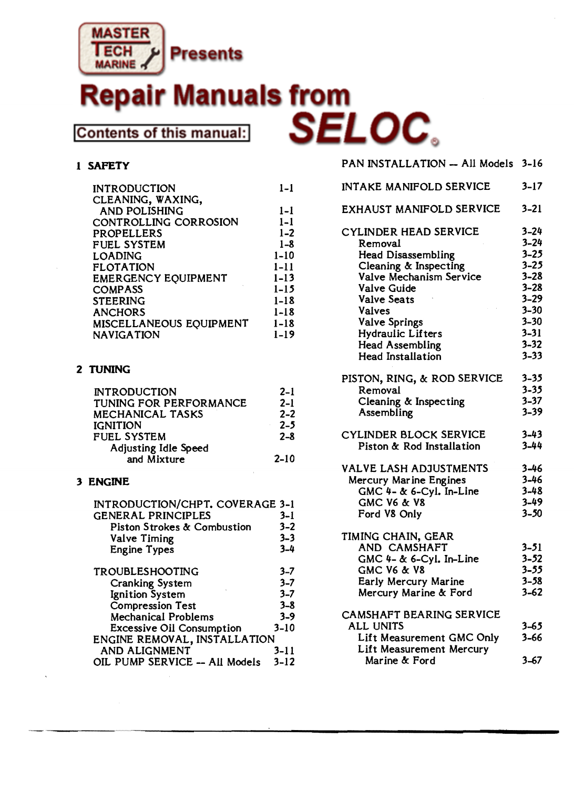

# **TABLE OF CONTENTS**  Contents of this manual:

#### 1 **SAFETY**

| <b>INTRODUCTION</b>        | $1-1$    |
|----------------------------|----------|
| CLEANING, WAXING,          |          |
| <b>AND POLISHING</b>       | $1 - 1$  |
| CONTROLLING CORROSION      | $1 - 1$  |
| <b>PROPELLERS</b>          | $1 - 2$  |
| <b>FUEL SYSTEM</b>         | $1 - 8$  |
| <b>LOADING</b>             | $1 - 10$ |
| <b>FLOTATION</b>           | 1-11     |
| <b>EMERGENCY EQUIPMENT</b> | $1 - 13$ |
| <b>COMPASS</b>             | $1 - 15$ |
| <b>STEERING</b>            | 1-18     |
| <b>ANCHORS</b>             | 1-18     |
| MISCELLANEOUS EQUIPMENT    | $1 - 18$ |
| <b>NAVIGATION</b>          | 1-19     |

#### **2 TUNING**

| <b>INTRODUCTION</b>     | $2 - 1$  |
|-------------------------|----------|
| TUNING FOR PERFORMANCE  | $2 - 1$  |
| <b>MECHANICAL TASKS</b> | $2 - 2$  |
| <b>IGNITION</b>         | $2 - 5$  |
| <b>FUEL SYSTEM</b>      | $2 - 8$  |
| Adjusting Idle Speed    |          |
| and Mixture             | $2 - 10$ |

#### **3 ENGINE**

| INTRODUCTION/CHPT. COVERAGE 3-1        |          |
|----------------------------------------|----------|
| <b>GENERAL PRINCIPLES</b>              | $3 - 1$  |
| <b>Piston Strokes &amp; Combustion</b> | $3 - 2$  |
| Valve Timing                           | $3 - 3$  |
| <b>Engine Types</b>                    | $3 - 4$  |
| <b>TROUBLESHOOTING</b>                 | $3 - 7$  |
| <b>Cranking System</b>                 | $3 - 7$  |
| <b>Ignition System</b>                 | $3 - 7$  |
| <b>Compression Test</b>                | $3 - 8$  |
| <b>Mechanical Problems</b>             | $3 - 9$  |
| <b>Excessive Oil Consumption</b>       | $3 - 10$ |
| ENGINE REMOVAL, INSTALLATION           |          |
| <b>AND ALIGNMENT</b>                   | $3 - 11$ |
| OIL PUMP SERVICE -- All Models         | $3 - 12$ |

| PAN INSTALLATION - All Models 3-16                                                                                                                                                                                                                                                |                                                                                                                                              |
|-----------------------------------------------------------------------------------------------------------------------------------------------------------------------------------------------------------------------------------------------------------------------------------|----------------------------------------------------------------------------------------------------------------------------------------------|
| INTAKE MANIFOLD SERVICE                                                                                                                                                                                                                                                           | $3 - 17$                                                                                                                                     |
| EXHAUST MANIFOLD SERVICE                                                                                                                                                                                                                                                          | $3 - 21$                                                                                                                                     |
| <b>CYLINDER HEAD SERVICE</b><br>Removal<br><b>Head Disassembling</b><br>Cleaning & Inspecting<br>Valve Mechanism Service<br><b>Valve Guide</b><br><b>Valve Seats</b><br>Valves<br><b>Valve Springs</b><br>Hydraulic Lifters<br><b>Head Assembling</b><br><b>Head Installation</b> | $3 - 24$<br>$3 - 24$<br>$3 - 25$<br>$3 - 25$<br>$3 - 28$<br>$3 - 28$<br>$3 - 29$<br>$3 - 30$<br>$3 - 30$<br>$3 - 31$<br>$3 - 32$<br>$3 - 33$ |
| PISTON, RING, & ROD SERVICE<br>Removal<br>Cleaning & Inspecting<br>Assembling                                                                                                                                                                                                     | $3 - 35$<br>$3 - 35$<br>$3 - 37$<br>$3 - 39$                                                                                                 |
| CYLINDER BLOCK SERVICE<br>Piston & Rod Installation                                                                                                                                                                                                                               | $3 - 43$<br>$3 - 44$                                                                                                                         |
| <b>VALVE LASH ADJUSTMENTS</b><br><b>Mercury Marine Engines</b><br>GMC $4-$ & 6-Cyl. In-Line<br><b>GMC V6 &amp; V8</b><br>Ford V8 Only                                                                                                                                             | $3 - 46$<br>$3 - 46$<br>$3 - 48$<br>$3 - 49$<br>$3 - 50$                                                                                     |
| TIMING CHAIN, GEAR<br>AND CAMSHAFT<br>GMC $4-$ & 6-Cyl. In-Line<br>GMC 76 & 78<br>Early Mercury Marine<br>Mercury Marine & Ford                                                                                                                                                   | $3 - 51$<br>$3 - 52$<br>3–55<br>$3 - 58$<br>$3 - 62$                                                                                         |
| CAMSHAFT BEARING SERVICE<br>ALL UNITS<br>Lift Measurement GMC Only<br>Lift Measurement Mercury<br>Marine & Ford                                                                                                                                                                   | $3 - 65$<br>$3 - 66$<br>$3 - 67$                                                                                                             |
|                                                                                                                                                                                                                                                                                   |                                                                                                                                              |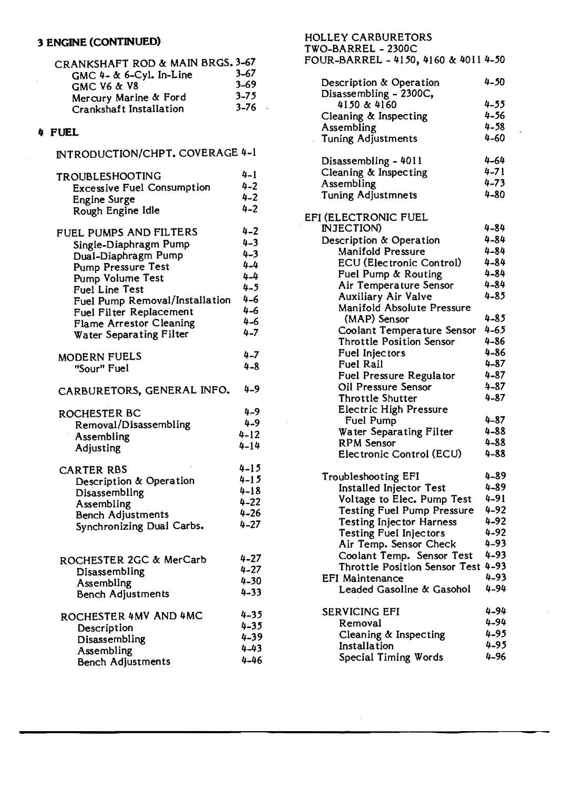| CRANKSHAFT ROD & MAIN BRGS. 3-67 |          |
|----------------------------------|----------|
| GMC $4-$ & 6-Cyl. In-Line        | $3 - 67$ |
| <b>GMC V6 &amp; V8</b>           | $3 - 69$ |
| Mercury Marine & Ford            | $3 - 75$ |
| Crankshaft Installation          | $3 - 76$ |
|                                  |          |

 $\mathcal{L}^{\pm}$ 

| INTRODUCTION/CHPT. COVERAGE 4-1 |  |  |
|---------------------------------|--|--|
|---------------------------------|--|--|

| <b>TROUBLESHOOTING</b>                             | $4 - 1$  | Cleaning & Inspecting              | $4 - 71$ |
|----------------------------------------------------|----------|------------------------------------|----------|
| <b>Excessive Fuel Consumption</b>                  | $4 - 2$  | Assembling                         | $4 - 73$ |
| <b>Engine Surge</b>                                | $4 - 2$  | <b>Tuning Adjustmnets</b>          | $4 - 80$ |
| Rough Engine Idle                                  | $4 - 2$  |                                    |          |
|                                                    |          | EFI (ELECTRONIC FUEL               |          |
| FUEL PUMPS AND FILTERS                             | $4 - 2$  | INJECTION)                         | $4 - 84$ |
| Single-Diaphragm Pump                              | $4 - 3$  | Description & Operation            | $4 - 84$ |
| Dual-Diaphragm Pump                                | $4 - 3$  | <b>Manifold Pressure</b>           | $4 - 84$ |
| <b>Pump Pressure Test</b>                          | $4 - 4$  | <b>ECU</b> (Electronic Control)    | $4 - 84$ |
| Pump Volume Test                                   | $4 - 4$  | Fuel Pump & Routing                | $4 - 84$ |
| <b>Fuel Line Test</b>                              | $4 - 5$  | Air Temperature Sensor             | $4 - 84$ |
| Fuel Pump Removal/Installation                     | $4 - 6$  | <b>Auxiliary Air Valve</b>         | $4 - 85$ |
|                                                    | $4 - 6$  | Manifold Absolute Pressure         |          |
| Fuel Filter Replacement                            | $4 - 6$  | (MAP) Sensor                       | $4 - 85$ |
| Flame Arrestor Cleaning<br>Water Separating Filter | $4 - 7$  | Coolant Temperature Sensor         | $4 - 65$ |
|                                                    |          | <b>Throttle Position Sensor</b>    | $4 - 86$ |
| <b>MODERN FUELS</b>                                | $4 - 7$  | Fuel Injectors                     | $4 - 86$ |
| "Sour" Fuel                                        | $4 - 8$  | <b>Fuel Rail</b>                   | $4 - 87$ |
|                                                    |          | Fuel Pressure Regulator            | $4 - 87$ |
| CARBURETORS, GENERAL INFO.                         | $4 - 9$  | Oil Pressure Sensor                | $4 - 87$ |
|                                                    |          | Throttle Shutter                   | $4 - 87$ |
| ROCHESTER BC                                       | $4 - 9$  | <b>Electric High Pressure</b>      |          |
|                                                    | $4 - 9$  | Fuel Pump                          | $4 - 87$ |
| Removal/Disassembling                              | $4 - 12$ | Water Separating Filter            | $4 - 88$ |
| Assembling                                         | $4 - 14$ | <b>RPM</b> Sensor                  | $4 - 88$ |
| Adjusting                                          |          | Electronic Control (ECU)           | $4 - 88$ |
| <b>CARTER RBS</b>                                  | $4 - 15$ |                                    |          |
| Description & Operation                            | $4 - 15$ | <b>Troubleshooting EFI</b>         | $4 - 89$ |
| Disassembling                                      | $4 - 18$ | <b>Installed Injector Test</b>     | $4 - 89$ |
| Assembling                                         | $4 - 22$ | Voltage to Elec. Pump Test         | $4 - 91$ |
| <b>Bench Adjustments</b>                           | $4 - 26$ | <b>Testing Fuel Pump Pressure</b>  | $4 - 92$ |
| Synchronizing Dual Carbs.                          | $4 - 27$ | <b>Testing Injector Harness</b>    | 4-92     |
|                                                    |          | <b>Testing Fuel Injectors</b>      | $4 - 92$ |
|                                                    |          | Air Temp. Sensor Check             | $4 - 93$ |
| ROCHESTER 2GC & MerCarb                            | $4 - 27$ | Coolant Temp. Sensor Test          | $4 - 93$ |
| Disassembling                                      | $4 - 27$ | Throttle Position Sensor Test 4-93 |          |
| Assembling                                         | $4 - 30$ | <b>EFI Maintenance</b>             | 4-93     |
| <b>Bench Adjustments</b>                           | $4 - 33$ | Leaded Gasoline & Gasohol          | 4-94     |
|                                                    |          |                                    |          |
| ROCHESTER 4MV AND 4MC                              | $4 - 35$ | <b>SERVICING EFI</b>               | 4-94     |
| Description                                        | $4 - 35$ | Removal                            | 4-94     |
| Disassembling                                      | $4 - 39$ | Cleaning & Inspecting              | $4 - 95$ |
| Assembling                                         | $4 - 43$ | Installation                       | $4 - 95$ |
| <b>Bench Adjustments</b>                           | $4 - 46$ | Special Timing Words               | $4 - 96$ |
|                                                    |          |                                    |          |

## 3 ENGINE (CONTINUED)<br>
CRANKSHAFT ROD & MAIN BRGS. 3-67<br>
CRANKSHAFT ROD & MAIN BRGS. 3-67<br>
FOUR-BARREL - 4150, 4160 & 4011 4-50

 $\ddot{\phantom{0}}$ 

| CRANKSHAFT ROD & MAIN BRGS. 3-67  |          | POUR-DARREL - 4100, 4160 & 4011 4-00 |          |
|-----------------------------------|----------|--------------------------------------|----------|
| GMC $4-$ & 6-Cyl. In-Line         | $3 - 67$ |                                      |          |
| <b>GMC V6 &amp; V8</b>            | $3 - 69$ | Description & Operation              | $4 - 50$ |
| Mercury Marine & Ford             | $3 - 75$ | Disassembling - 2300C,               |          |
| Crankshaft Installation           | $3 - 76$ | 4150 & 4160                          | $4 - 55$ |
|                                   |          | Cleaning & Inspecting                | $4 - 56$ |
| 4 FUEL                            |          | Assembling                           | $4 - 58$ |
|                                   |          | <b>Tuning Adjustments</b>            | $4 - 60$ |
| INTRODUCTION/CHPT. COVERAGE 4-1   |          |                                      |          |
|                                   |          | Disassembling - 4011                 | $4 - 64$ |
| TROUBLESHOOTING                   | $4 - 1$  | Cleaning & Inspecting                | $4 - 71$ |
|                                   | $4 - 2$  | Assembling                           | $4 - 73$ |
| <b>Excessive Fuel Consumption</b> | $4 - 2$  | <b>Tuning Adjustmnets</b>            | $4 - 80$ |
| <b>Engine Surge</b>               | $4 - 2$  |                                      |          |
| Rough Engine Idle                 |          | EFI (ELECTRONIC FUEL                 |          |
|                                   |          | INJECTION)                           | $4 - 84$ |
| FUEL PUMPS AND FILTERS            | $4 - 2$  | Description & Operation              | $4 - 84$ |
| Single-Diaphragm Pump             | $4 - 3$  | <b>Manifold Pressure</b>             | $4 - 84$ |
| Dual-Diaphragm Pump               | $4 - 3$  |                                      |          |
| <b>Pump Pressure Test</b>         | $4 - 4$  | <b>ECU</b> (Electronic Control)      | $4 - 84$ |
| Pump Volume Test                  | $4 - 4$  | Fuel Pump & Routing                  | $4 - 84$ |
| Fuel Line Test                    | $4 - 5$  | Air Temperature Sensor               | $4 - 84$ |
| Fuel Pump Removal/Installation    | $4 - 6$  | <b>Auxiliary Air Valve</b>           | $4 - 85$ |
| <b>Fuel Filter Replacement</b>    | $4 - 6$  | Manifold Absolute Pressure           |          |
| <b>Flame Arrestor Cleaning</b>    | $4 - 6$  | (MAP) Sensor                         | $4 - 85$ |
| <b>Water Separating Filter</b>    | $4 - 7$  | Coolant Temperature Sensor           | $4 - 65$ |
|                                   |          | <b>Throttle Position Sensor</b>      | $4 - 86$ |
| <b>MODERN FUELS</b>               | $4 - 7$  | Fuel Injectors                       | $4 - 86$ |
| "Sour" Fuel                       | $4 - 8$  | <b>Fuel Rail</b>                     | $4 - 87$ |
|                                   |          | Fuel Pressure Regulator              | $4 - 87$ |
|                                   | $4 - 9$  | Oil Pressure Sensor                  | $4 - 87$ |
| CARBURETORS, GENERAL INFO.        |          | <b>Throttle Shutter</b>              | $4 - 87$ |
|                                   |          | <b>Electric High Pressure</b>        |          |
| ROCHESTER BC                      | $4 - 9$  | Fuel Pump                            | $4 - 87$ |
| Removal/Disassembling             | $4 - 9$  | Water Separating Filter              | $4 - 88$ |
| Assembling                        | $4 - 12$ | RPM Sensor                           | $4 - 88$ |
| Adjusting                         | $4 - 14$ | Electronic Control (ECU)             | $4 - 88$ |
|                                   |          |                                      |          |
| <b>CARTER RBS</b>                 | $4 - 15$ |                                      |          |
| Description & Operation           | $4 - 15$ | Troubleshooting EFI                  | $4 - 89$ |
| Disassembling                     | $4 - 18$ | Installed Injector Test              | $4 - 89$ |
| Assembling                        | $4 - 22$ | Voltage to Elec. Pump Test           | $4 - 91$ |
| <b>Bench Adjustments</b>          | $4 - 26$ | <b>Testing Fuel Pump Pressure</b>    | $4 - 92$ |
| Synchronizing Dual Carbs.         | $4 - 27$ | <b>Testing Injector Harness</b>      | $4 - 92$ |
|                                   |          | <b>Testing Fuel Injectors</b>        | $4 - 92$ |
|                                   |          | Air Temp. Sensor Check               | $4 - 93$ |
| ROCHESTER 2GC & MerCarb           | $4 - 27$ | Coolant Temp. Sensor Test            | $4 - 93$ |
|                                   | $4 - 27$ | Throttle Position Sensor Test 4-93   |          |
| Disassembling                     | $4 - 30$ | <b>EFI Maintenance</b>               | $4 - 93$ |
| Assembling                        |          | Leaded Gasoline & Gasohol            | $4 - 94$ |
| <b>Bench Adjustments</b>          | $4 - 33$ |                                      |          |
|                                   |          | SERVICING EFI                        | $4 - 94$ |
| ROCHESTER 4MV AND 4MC             | $4 - 35$ | Removal                              | $4 - 94$ |
| Description                       | $4 - 35$ |                                      | $4 - 95$ |
| Disassembling                     | $4 - 39$ | Cleaning & Inspecting                |          |
| Assembling                        | $4 - 43$ | Installation                         | $4 - 95$ |
| Ranch Adjustments                 | $4 - 46$ | Special Timing Words                 | $4 - 96$ |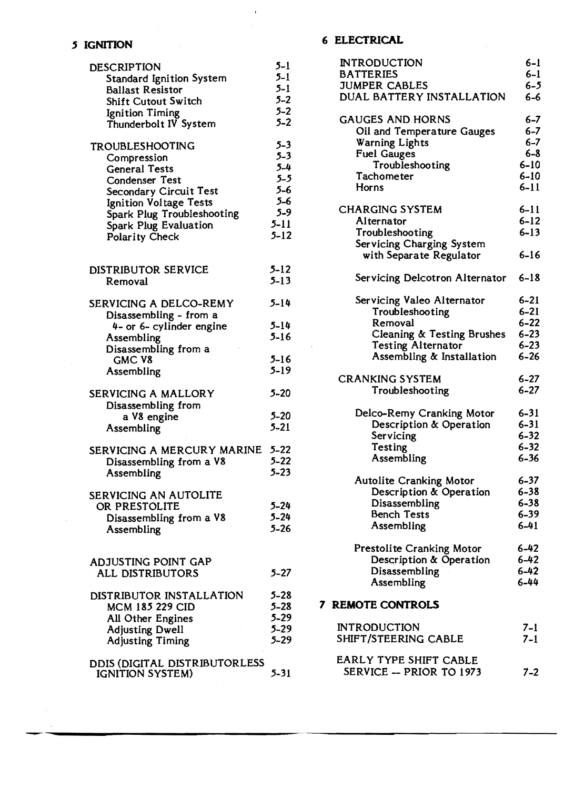### **, IGNITION**

| <b>DESCRIPTION</b>                                                                                                                                | $5 - 1$                                          |
|---------------------------------------------------------------------------------------------------------------------------------------------------|--------------------------------------------------|
| <b>Standard Ignition System</b>                                                                                                                   | $5 - 1$                                          |
| <b>Ballast Resistor</b>                                                                                                                           | $5 - 1$                                          |
| Shift Cutout Switch                                                                                                                               | $5 - 2$                                          |
| <b>Ignition Timing</b>                                                                                                                            | $5 - 2$                                          |
| Thunderbolt IV System                                                                                                                             | $5 - 2$                                          |
| TROUBLESHOOTING                                                                                                                                   | $5 - 3$                                          |
| Compression                                                                                                                                       | $5 - 3$                                          |
| <b>General Tests</b>                                                                                                                              | $5 - 4$                                          |
| <b>Condenser Test</b>                                                                                                                             | $5 - 5$                                          |
| <b>Secondary Circuit Test</b>                                                                                                                     | $5 - 6$                                          |
| Ignition Voltage Tests                                                                                                                            | $5 - 6$                                          |
| Spark Plug Troubleshooting                                                                                                                        | $5 - 9$                                          |
| Spark Plug Evaluation                                                                                                                             | $5 - 11$                                         |
| <b>Polarity Check</b>                                                                                                                             | $5 - 12$                                         |
| DISTRIBUTOR SERVICE                                                                                                                               | $5 - 12$                                         |
| Removal                                                                                                                                           | $5 - 13$                                         |
| SERVICING A DELCO-REMY<br>Disassembling - from a<br>4- or 6- cylinder engine<br>Assembling<br>Disassembling from a<br><b>GMC V8</b><br>Assembling | 5-14<br>$5 - 14$<br>$5 - 16$<br>5-16<br>$5 - 19$ |
| SERVICING A MALLORY<br>Disassembling from<br>a V8 engine<br>Assembling                                                                            | $5 - 20$<br>$5 - 20$<br>$5 - 21$                 |
| SERVICING A MERCURY MARINE                                                                                                                        | $5 - 22$                                         |
| Disassembling from a V8                                                                                                                           | $5 - 22$                                         |
| Assembling                                                                                                                                        | $5 - 23$                                         |
| SERVICING AN AUTOLITE<br>OR PRESTOLITE<br>Disassembling from a V8<br>Assembling                                                                   | 5-24<br>$5 - 24$<br>$5 - 26$                     |
| ADJUSTING POINT GAP<br>ALL DISTRIBUTORS                                                                                                           | $5 - 27$                                         |
| DISTRIBUTOR INSTALLATION                                                                                                                          | $5 - 28$                                         |
| <b>MCM 185 229 CID</b>                                                                                                                            | $5 - 28$                                         |
| <b>All Other Engines</b>                                                                                                                          | $5 - 29$                                         |
| <b>Adjusting Dwell</b>                                                                                                                            | $5 - 29$                                         |
| <b>Adjusting Timing</b>                                                                                                                           | $5 - 29$                                         |
| DDIS (DIGITAL DISTRIBUTORLESS<br><b>IGNITION SYSTEM)</b>                                                                                          | 5-31                                             |

#### **6 ELECTRICAL**

 $\ddot{\phantom{a}}$ 

|   | <b>INTRODUCTION</b>                                  | 6-1      |
|---|------------------------------------------------------|----------|
|   | <b>BATTERIES</b>                                     | $6-1$    |
|   | <b>JUMPER CABLES</b>                                 | 6-5      |
|   | DUAL BATTERY INSTALLATION                            | $6-6$    |
|   | <b>GAUGES AND HORNS</b>                              | $6 - 7$  |
|   | Oil and Temperature Gauges                           | $6 - 7$  |
|   | <b>Warning Lights</b>                                | $6 - 7$  |
|   | <b>Fuel Gauges</b>                                   | $6 - 8$  |
|   | Troubleshooting                                      | $6 - 10$ |
|   | Tachometer                                           | $6 - 10$ |
|   | Horns                                                | $6 - 11$ |
|   | <b>CHARGING SYSTEM</b>                               | $6 - 11$ |
|   | Alternator                                           | $6 - 12$ |
|   | Troubleshooting                                      | $6 - 13$ |
|   | Servicing Charging System<br>with Separate Regulator | $6 - 16$ |
|   | Servicing Delcotron Alternator                       | $6 - 18$ |
|   | Servicing Valeo Alternator                           | $6 - 21$ |
|   | Troubleshooting                                      | $6 - 21$ |
|   | Removal                                              | $6 - 22$ |
|   | Cleaning & Testing Brushes                           | $6 - 23$ |
|   | <b>Testing Alternator</b>                            | $6 - 23$ |
|   | Assembling & Installation                            | $6 - 26$ |
|   | <b>CRANKING SYSTEM</b>                               | $6 - 27$ |
|   | Troubleshooting                                      | $6 - 27$ |
|   | Delco-Remy Cranking Motor                            | $6 - 31$ |
|   | Description & Operation                              | $6 - 31$ |
|   | Servicing                                            | $6 - 32$ |
|   | Testing                                              | $6 - 32$ |
|   | Assembling                                           | $6 - 36$ |
|   | Autolite Cranking Motor                              | $6 - 37$ |
|   | Description & Operation                              | $6 - 38$ |
|   | Disassembling                                        | $6 - 38$ |
|   | <b>Bench Tests</b>                                   | $6 - 39$ |
|   | Assembling                                           | $6 - 41$ |
|   | <b>Prestolite Cranking Motor</b>                     | $6 - 42$ |
|   | Description & Operation                              | $6 - 42$ |
|   | Disassembling                                        | $6 - 42$ |
|   | Assembling                                           | $6 - 44$ |
| 7 | <b>REMOTE CONTROLS</b>                               |          |
|   | <b>INTRODUCTION</b>                                  | $7 - 1$  |
|   | SHIFT/STEERING CABLE                                 | $7 - 1$  |
|   |                                                      |          |
|   | EARLY TYPE SHIFT CABLE<br>SERVICE -- PRIOR TO 1973   | $7 - 2$  |
|   |                                                      |          |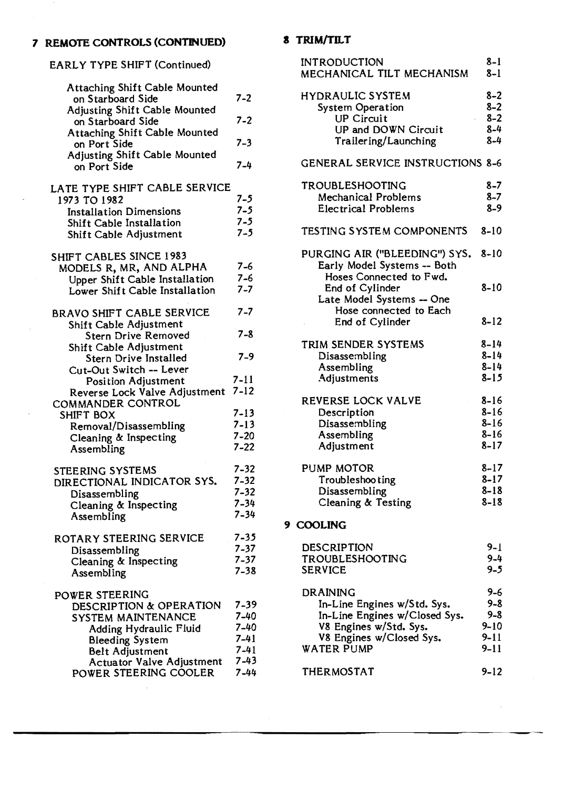#### **7 REMOTE CONTROLS (CONTINUED)**

EARLY TYPE SHIFT (Continued)

| <b>Attaching Shift Cable Mounted</b><br>on Starboard Side | $7 - 2$            |
|-----------------------------------------------------------|--------------------|
| <b>Adjusting Shift Cable Mounted</b><br>on Starboard Side | $7 - 2$            |
| Attaching Shift Cable Mounted<br>on Port Side             | $7 - 3$            |
| <b>Adjusting Shift Cable Mounted</b><br>on Port Side      | $7 - 4$            |
| LATE TYPE SHIFT CABLE SERVICE                             |                    |
| 1973 TO 1982                                              | $7 - 5$            |
| <b>Installation Dimensions</b>                            | $7 - 5$            |
| Shift Cable Installation<br>Shift Cable Adjustment        | $7 - 5$<br>$7 - 5$ |
| SHIFT CABLES SINCE 1983                                   |                    |
| MODELS R, MR, AND ALPHA                                   | $7 - 6$            |
| Upper Shift Cable Installation                            | $7 - 6$            |
| Lower Shift Cable Installation                            | $7 - 7$            |
| <b>BRAVO SHIFT CABLE SERVICE</b>                          | $7 - 7$            |
| Shift Cable Adjustment                                    |                    |
| <b>Stern Drive Removed</b>                                | $7 - 8$            |
| Shift Cable Adjustment<br><b>Stern Drive Installed</b>    | $7 - 9$            |
| Cut-Out Switch -- Lever                                   |                    |
| <b>Position Adjustment</b>                                | $7 - 11$           |
| Reverse Lock Valve Adjustment                             | $7 - 12$           |
| COMMANDER CONTROL                                         |                    |
| SHIFT BOX                                                 | $7 - 13$           |
| Removal/Disassembling                                     | $7 - 13$           |
| Cleaning & Inspecting                                     | $7 - 20$           |
| Assembling                                                | $7 - 22$           |
| <b>STEERING SYSTEMS</b>                                   | 7-32               |
| DIRECTIONAL INDICATOR SYS.                                | $7 - 32$           |
| Disassembling                                             | $7 - 32$           |
| Cleaning & Inspecting                                     | $7 - 34$           |
| Assembling                                                | 7-34               |
| ROTARY STEERING SERVICE                                   | $7 - 35$           |
| Disassembling                                             | $7 - 37$           |
| Cleaning & Inspecting                                     | $7 - 37$           |
| Assembling                                                | 7-38               |
| POWER STEERING                                            |                    |
| DESCRIPTION & OPERATION                                   | 7-39               |
| SYSTEM MAINTENANCE                                        | 7-40               |
| <b>Adding Hydraulic Fluid</b>                             | 7-40<br>$7 - 41$   |
| <b>Bleeding System</b><br><b>Belt Adjustment</b>          | $7 - 41$           |
| Actuator Valve Adjustment                                 | $7 - 43$           |
| POWER STEERING COOLER                                     | $7 - 44$           |

## **a TRIM/TR.T**

| <b>INTRODUCTION</b><br>MECHANICAL TILT MECHANISM                                        | $8 - 1$<br>$8 - 1$ |
|-----------------------------------------------------------------------------------------|--------------------|
| <b>HYDRAULIC SYSTEM</b><br><b>System Operation</b>                                      | $8 - 2$<br>$8 - 2$ |
| <b>UP Circuit</b>                                                                       | $8 - 2$            |
| UP and DOWN Circuit                                                                     | $8 - 4$            |
| Trailering/Launching                                                                    | $8 - 4$            |
| <b>GENERAL SERVICE INSTRUCTIONS 8-6</b>                                                 |                    |
| TROUBLESHOOTING                                                                         | $8 - 7$            |
| <b>Mechanical Problems</b>                                                              | $8 - 7$            |
| <b>Electrical Problems</b>                                                              | $8 - 9$            |
| TESTING SYSTEM COMPONENTS                                                               | $8 - 10$           |
| PURGING AIR ("BLEEDING") SYS.<br>Early Model Systems -- Both<br>Hoses Connected to Fwd. | $8 - 10$           |
| End of Cylinder<br>Late Model Systems - One                                             | $8 - 10$           |
| Hose connected to Each<br>End of Cylinder                                               | $8 - 12$           |
| TRIM SENDER SYSTEMS                                                                     | $8 - 14$           |
| Disassembling                                                                           | $8 - 14$           |
| Assembling                                                                              | $8 - 14$           |
| Adjustments                                                                             | $8 - 15$           |
| REVERSE LOCK VALVE                                                                      | $8 - 16$           |
| Description                                                                             | $8 - 16$           |
| Disassembling                                                                           | $8 - 16$           |
| Assembling                                                                              | $8 - 16$           |
| Adjustment                                                                              | $8 - 17$           |
| PUMP MOTOR                                                                              | $8 - 17$           |
| Troubleshooting                                                                         | $8 - 17$           |
| Disassembling                                                                           | $8 - 18$           |
| Cleaning & Testing                                                                      | $8 - 18$           |
| 9 COOLING                                                                               |                    |
| DESCRIPTION                                                                             | 9-1                |
| TROUBLESHOOTING                                                                         | $9 - 4$            |
| <b>SERVICE</b>                                                                          | $9 - 5$            |
| DRAINING                                                                                | 9–6                |
| In-Line Engines w/Std. Sys.                                                             | $9 - 8$            |
| In-Line Engines w/Closed Sys.                                                           | $9 - 8$            |
| V8 Engines w/Std. Sys.                                                                  | $9 - 10$           |
| V8 Engines w/Closed Sys.                                                                | $9 - 11$           |
| <b>WATER PUMP</b>                                                                       | $9 - 11$           |

THERMOSTAT 9-12

 $\bar{\phantom{a}}$  ,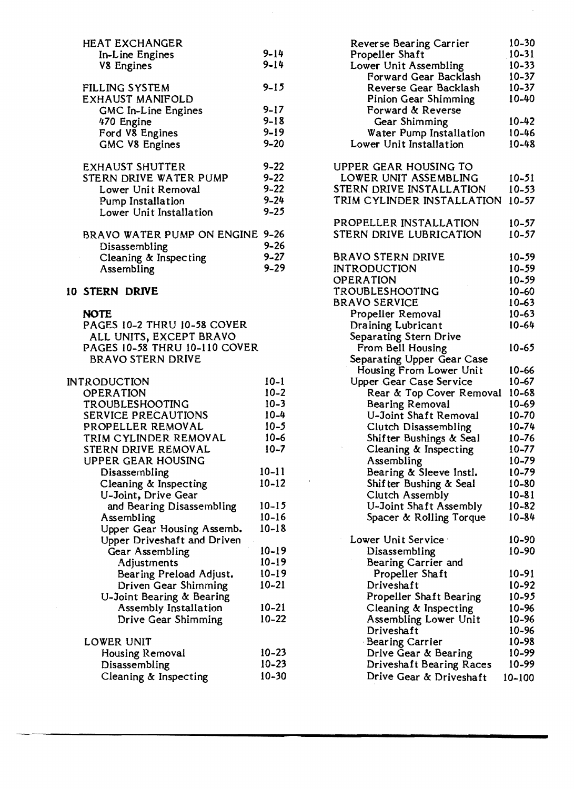| <b>HEAT EXCHANGER</b>                        |           |  |  |
|----------------------------------------------|-----------|--|--|
| In-Line Engines                              | $9 - 14$  |  |  |
| <b>V8 Engines</b>                            | $9 - 14$  |  |  |
|                                              |           |  |  |
| FILLING SYSTEM                               | $9 - 15$  |  |  |
| <b>EXHAUST MANIFOLD</b>                      |           |  |  |
| GMC In-Line Engines                          | $9 - 17$  |  |  |
| 470 Engine                                   | $9 - 18$  |  |  |
| Ford V8 Engines                              | $9 - 19$  |  |  |
| <b>GMC V8 Engines</b>                        | $9 - 20$  |  |  |
|                                              |           |  |  |
| <b>EXHAUST SHUTTER</b>                       | $9 - 22$  |  |  |
| STERN DRIVE WATER PUMP                       | $9 - 22$  |  |  |
| Lower Unit Removal                           | $9 - 22$  |  |  |
| Pump Installation                            | $9 - 24$  |  |  |
| Lower Unit Installation                      | $9 - 25$  |  |  |
|                                              |           |  |  |
| BRAVO WATER PUMP ON ENGINE 9-26              |           |  |  |
| Disassembling                                | $9 - 26$  |  |  |
| Cleaning & Inspecting                        | $9 - 27$  |  |  |
| Assembling                                   | $9 - 29$  |  |  |
|                                              |           |  |  |
| <b>10 STERN DRIVE</b>                        |           |  |  |
| <b>NOTE</b>                                  |           |  |  |
| PAGES 10-2 THRU 10-58 COVER                  |           |  |  |
| ALL UNITS, EXCEPT BRAVO                      |           |  |  |
| <b>PAGES 10-58 THRU 10-110 COVER</b>         |           |  |  |
| <b>BRAVO STERN DRIVE</b>                     |           |  |  |
|                                              |           |  |  |
| <b>INTRODUCTION</b>                          | $10 - 1$  |  |  |
| <b>OPERATION</b>                             | $10 - 2$  |  |  |
| TROUBLESHOOTING                              | $10 - 3$  |  |  |
| <b>SERVICE PRECAUTIONS</b>                   | $10 - 4$  |  |  |
| PROPELLER REMOVAL                            | $10 - 5$  |  |  |
| TRIM CYLINDER REMOVAL                        | $10 - 6$  |  |  |
| STERN DRIVE REMOVAL                          |           |  |  |
| UPPER GEAR HOUSING                           | $10 - 7$  |  |  |
| Disassembling                                |           |  |  |
|                                              | $10 - 11$ |  |  |
|                                              |           |  |  |
| Cleaning & Inspecting<br>U-Joint, Drive Gear | $10 - 12$ |  |  |

| Cleaning & Inspecting       | $10 - 12$ |
|-----------------------------|-----------|
| U-Joint, Drive Gear         |           |
| and Bearing Disassembling   | $10 - 15$ |
| Assembling                  | $10 - 16$ |
| Upper Gear Housing Assemb.  | $10 - 18$ |
| Upper Driveshaft and Driven |           |
| Gear Assembling             | $10 - 19$ |
| Adjustments                 | $10 - 19$ |
| Bearing Preload Adjust.     | $10 - 19$ |
| Driven Gear Shimming        | $10 - 21$ |
| U-Joint Bearing & Bearing   |           |
| Assembly Installation       | $10 - 21$ |
| Drive Gear Shimming         | $10 - 22$ |
| LOWER UNIT                  |           |
| <b>Housing Removal</b>      | $10 - 23$ |
| Disassembling               | $10 - 23$ |
| Cleaning & Inspecting       | 10-30     |
|                             |           |

 $\bar{t}$ 

| Reverse Bearing Carrier                           | 10-30     |
|---------------------------------------------------|-----------|
| Propeller Shaft                                   | $10 - 31$ |
| Lower Unit Assembling                             | $10 - 33$ |
| Forward Gear Backlash                             | $10 - 37$ |
| Reverse Gear Backlash                             | $10 - 37$ |
| Pinion Gear Shimming                              | 10-40     |
| Forward & Reverse                                 |           |
| Gear Shimming                                     | $10 - 42$ |
| Water Pump Installation                           | 10-46     |
| Lower Unit Installation                           | $10 - 48$ |
|                                                   |           |
| UPPER GEAR HOUSING TO                             |           |
| LOWER UNIT ASSEMBLING<br>STERN DRIVE INSTALLATION | 10-51     |
|                                                   | $10 - 53$ |
| TRIM CYLINDER INSTALLATION                        | 10-57     |
| PROPELLER INSTALLATION                            | $10 - 57$ |
| STERN DRIVE LUBRICATION                           | $10 - 57$ |
|                                                   |           |
| <b>BRAVO STERN DRIVE</b>                          | $10 - 59$ |
| <b>INTRODUCTION</b>                               | 10-59     |
| OPERATION                                         | $10 - 59$ |
| TROUBLESHOOTING                                   | $10 - 60$ |
| <b>BRAVO SERVICE</b>                              | 10-63     |
| Propeller Removal                                 | $10 - 63$ |
| Draining Lubricant                                | 10-64     |
| Separating Stern Drive                            |           |
| From Bell Housing                                 | 10-65     |
| Separating Upper Gear Case                        |           |
| Housing From Lower Unit                           | 10-66     |
| Upper Gear Case Service                           | $10 - 67$ |
| Rear & Top Cover Removal                          | $10 - 68$ |
| <b>Bearing Removal</b>                            | $10 - 69$ |
| U-Joint Shaft Removal                             | $10 - 70$ |
| <b>Clutch Disassembling</b>                       | $10 - 74$ |
| Shifter Bushings & Seal                           | 10-76     |
| Cleaning & Inspecting                             | 10-77     |
| Assembling                                        | 10–79     |
| Bearing & Sleeve Instl.                           | 10-79     |
| Shifter Bushing & Seal                            | 10-80     |
| <b>Clutch Assembly</b>                            | $10 - 81$ |
| U-Joint Shaft Assembly                            | 10-82     |
| Spacer & Rolling Torque                           | 10-84     |
|                                                   |           |
| Lower Unit Service                                | 10-90     |
| Disassembling                                     | 10-90     |
| Bearing Carrier and                               |           |
| Propeller Shaft                                   | 10-91     |
| Driveshaft                                        | 10-92     |
| Propeller Shaft Bearing                           | 10-95     |
| Cleaning & Inspecting                             | 10-96     |
| Assembling Lower Unit                             | 10-96     |
| Driveshaft                                        | 10-96     |
| Bearing Carrier                                   | 10-98     |
| Drive Gear & Bearing                              | 10-99     |
| Driveshaft Bearing Races                          | 10-99     |
| Drive Gear & Driveshaft                           | 10-100    |

 $\mathcal{A}$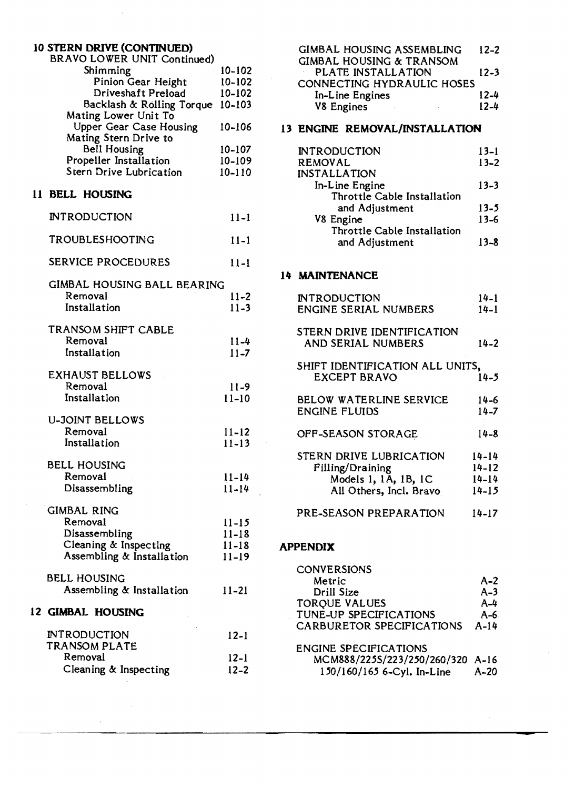| 10 STERN DRIVE (CONTINUED)<br>BRAVO LOWER UNIT Continued) |                        |
|-----------------------------------------------------------|------------------------|
| Shimming                                                  | $10 - 102$             |
| Pinion Gear Height                                        | 10-102                 |
| Driveshaft Preload                                        | 10-102                 |
| Backlash & Rolling Torque<br>Mating Lower Unit To         | 10-103                 |
| <b>Upper Gear Case Housing</b><br>Mating Stern Drive to   | 10-106                 |
| Bell Housing                                              | $10 - 107$             |
| Propeller Installation                                    | 10-109                 |
| Stern Drive Lubrication                                   | $10 - 110$             |
| 11 BELL HOUSING                                           |                        |
| <b>INTRODUCTION</b>                                       | $11 - 1$               |
| TROUBLESHOOTING                                           | $11 - 1$               |
| <b>SERVICE PROCEDURES</b>                                 | $11-1$                 |
| GIMBAL HOUSING BALL BEARING                               |                        |
| Removal                                                   | $11 - 2$               |
| Installation                                              | $11 - 3$               |
|                                                           |                        |
| TRANSOM SHIFT CABLE<br>Removal                            |                        |
| Installation                                              | $11 - 4$<br>$11 - 7$   |
|                                                           |                        |
| <b>EXHAUST BELLOWS</b>                                    |                        |
| Removal                                                   | $11-9$                 |
| Installation                                              | $11 - 10$              |
| <b>U-JOINT BELLOWS</b>                                    |                        |
| Removal                                                   | $11 - 12$              |
| Installation                                              | $11 - 13$              |
|                                                           |                        |
| <b>BELL HOUSING</b><br>Removal                            | $11 - 14$              |
| Disassembling                                             | $11 - 14$              |
|                                                           |                        |
| <b>GIMBAL RING</b>                                        |                        |
| Removal                                                   | $11 - 15$              |
| Disassembling                                             | $11 - 18$              |
| Cleaning & Inspecting<br>Assembling & Installation        | $11 - 18$<br>$11 - 19$ |
|                                                           |                        |
| BELL HOUSING                                              |                        |
| Assembling & Installation                                 | $11 - 21$              |
| 12 GIMBAL HOUSING                                         |                        |
| INTRODUCTION                                              | $12 - 1$               |
| TRANSOM PLATE                                             |                        |
| Removal                                                   | $12 - 1$               |
| Cleaning & Inspecting                                     | $12 - 2$               |

 $\bar{z}$ 

| <b>GIMBAL HOUSING ASSEMBLING</b>    | $12 - 2$ |
|-------------------------------------|----------|
| <b>GIMBAL HOUSING &amp; TRANSOM</b> |          |
| PLATE INSTALLATION                  | $12 - 3$ |
| CONNECTING HYDRAULIC HOSES          |          |
| In-Line Engines                     | $12 - 4$ |
| <b>V8 Engines</b>                   | $12 - 4$ |
|                                     |          |

### 13 ENGINE REMOVAL/INSTALLATION

| <b>INTRODUCTION</b>         | $13 - 1$ |
|-----------------------------|----------|
| <b>REMOVAL</b>              | $13 - 2$ |
| <b>INSTALLATION</b>         |          |
| In-Line Engine              | $13 - 3$ |
| Throttle Cable Installation |          |
| and Adjustment              | 13-5     |
| V8 Engine                   | $13 - 6$ |
| Throttle Cable Installation |          |
| and Adjustment              | $13 - 8$ |
|                             |          |

#### 14 MAINTENANCE

| INTRODUCTION                                     | 14-1      |
|--------------------------------------------------|-----------|
| <b>ENGINE SERIAL NUMBERS</b>                     | $14 - 1$  |
| STERN DRIVE IDENTIFICATION<br>AND SERIAL NUMBERS | 14-2      |
|                                                  |           |
| SHIFT IDENTIFICATION ALL UNITS,                  |           |
| <b>EXCEPT BRAVO</b>                              | 14-5      |
| BELOW WATERLINE SERVICE                          | 14-6      |
| <b>ENGINE FLUIDS</b>                             | $14 - 7$  |
| OFF-SEASON STORAGE                               | $14 - 8$  |
| STERN DRIVE LUBRICATION                          | 14-14     |
| Filling/Draining                                 | $14 - 12$ |
| Models 1, 1A, 1B, 1C                             | 14-14     |
| All Others, Incl. Bravo                          | 14-15     |
| PRE-SEASON PREPARATION                           | 14-17     |
|                                                  |           |

#### APPENDIX

| <b>CONVERSIONS</b>               |         |
|----------------------------------|---------|
| Metric                           | $A - 2$ |
| Drill Size                       | $A-3$   |
| <b>TORQUE VALUES</b>             | $A-4$   |
| TUNE-UP SPECIFICATIONS           | $A-6$   |
| CARBURETOR SPECIFICATIONS        | $A-14$  |
| <b>ENGINE SPECIFICATIONS</b>     |         |
| MCM888/225S/223/250/260/320 A-16 |         |
| 150/160/165 6-Cyl. In-Line       | $A-20$  |